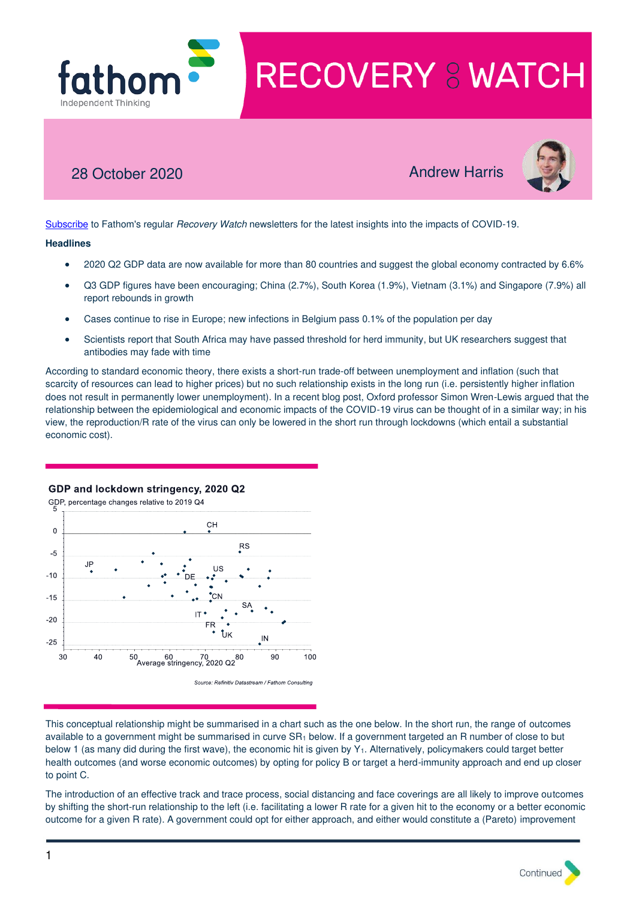

# 28 October 2020 **Andrew Harris**



[Subscribe](http://r20.rs6.net/tn.jsp?f=001Y8d7mXfRBy0_tt9ObLajdZU8AZABS9BHYQEDh7YpCRj0dn78RrOoAivsUqksccSYZHk1FvsMgQwsi4064oK_ffkLkA_uLNbZhr5J6cWsAn81MrIQmI-KLZfAGfF77227kqca_7xaaztiKm67V3msLVQ6OQEAeuwX3OqVtf3cm94aYvKb57ok7tm7Waup4AiUMnBOX5hKdbjfFbSbF9qs6UnZyegNU_iz&c=c_27EmxyeocbDZ43bHzvRHVSxtcXDhGAKan9nQEKg6msrfm3Wp0IFw==&ch=A7R9ugbXtheKpB2hUbgzZ5G8wxKXLDdKsJ66eAdyBCa6pim0kBAAjA==) to Fathom's regular Recovery Watch newsletters for the latest insights into the impacts of COVID-19.

# **Headlines**

- 2020 Q2 GDP data are now available for more than 80 countries and suggest the global economy contracted by 6.6%
- Q3 GDP figures have been encouraging; China (2.7%), South Korea (1.9%), Vietnam (3.1%) and Singapore (7.9%) all report rebounds in growth
- Cases continue to rise in Europe; new infections in Belgium pass 0.1% of the population per day
- Scientists report that South Africa may have passed threshold for herd immunity, but UK researchers suggest that antibodies may fade with time

According to standard economic theory, there exists a short-run trade-off between unemployment and inflation (such that scarcity of resources can lead to higher prices) but no such relationship exists in the long run (i.e. persistently higher inflation does not result in permanently lower unemployment). In a recent blog post, Oxford professor Simon Wren-Lewis argued that the relationship between the epidemiological and economic impacts of the COVID-19 virus can be thought of in a similar way; in his view, the reproduction/R rate of the virus can only be lowered in the short run through lockdowns (which entail a substantial economic cost).

# GDP and lockdown stringency, 2020 Q2

GDP, percentage changes relative to 2019 Q4 CH  $\overline{0}$ **RS**  $-5$ JP. **US**  $-10$  $-15$  $-20$ IN  $-25$ 50 60 70 80<br>Average stringency, 2020 Q2 30  $40$ 90 100

Source: Refinitiv Datastream / Fathom Consulting

This conceptual relationship might be summarised in a chart such as the one below. In the short run, the range of outcomes available to a government might be summarised in curve SR<sub>1</sub> below. If a government targeted an R number of close to but below 1 (as many did during the first wave), the economic hit is given by  $Y_1$ . Alternatively, policymakers could target better health outcomes (and worse economic outcomes) by opting for policy B or target a herd-immunity approach and end up closer to point C.

The introduction of an effective track and trace process, social distancing and face coverings are all likely to improve outcomes by shifting the short-run relationship to the left (i.e. facilitating a lower R rate for a given hit to the economy or a better economic outcome for a given R rate). A government could opt for either approach, and either would constitute a (Pareto) improvement

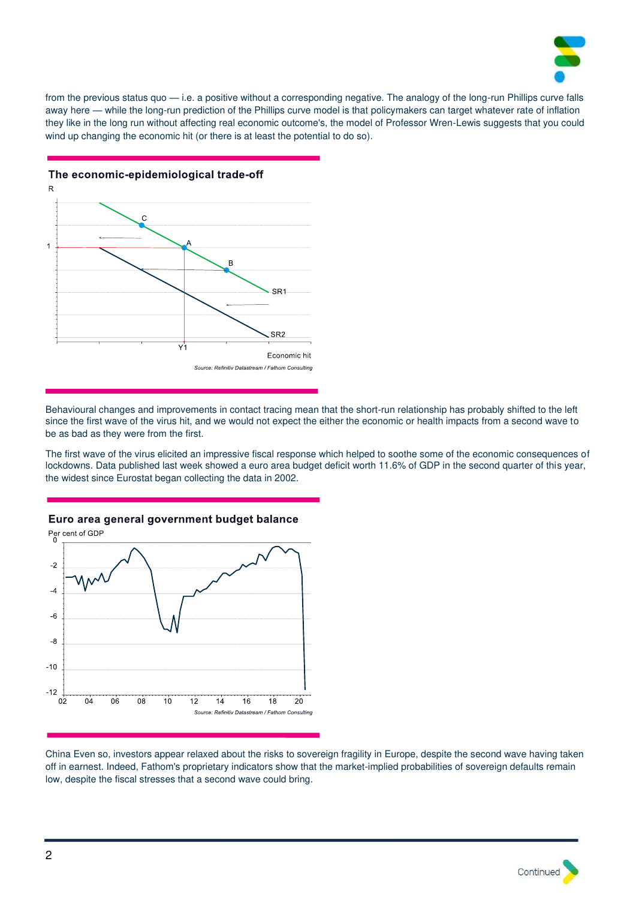

from the previous status quo — i.e. a positive without a corresponding negative. The analogy of the long-run Phillips curve falls away here — while the long-run prediction of the Phillips curve model is that policymakers can target whatever rate of inflation they like in the long run without affecting real economic outcome's, the model of Professor Wren-Lewis suggests that you could wind up changing the economic hit (or there is at least the potential to do so).



The economic-epidemiological trade-off

Behavioural changes and improvements in contact tracing mean that the short-run relationship has probably shifted to the left since the first wave of the virus hit, and we would not expect the either the economic or health impacts from a second wave to be as bad as they were from the first.

The first wave of the virus elicited an impressive fiscal response which helped to soothe some of the economic consequences of lockdowns. Data published last week showed a euro area budget deficit worth 11.6% of GDP in the second quarter of this year, the widest since Eurostat began collecting the data in 2002.



Euro area general government budget balance

China Even so, investors appear relaxed about the risks to sovereign fragility in Europe, despite the second wave having taken off in earnest. Indeed, Fathom's proprietary indicators show that the market-implied probabilities of sovereign defaults remain low, despite the fiscal stresses that a second wave could bring.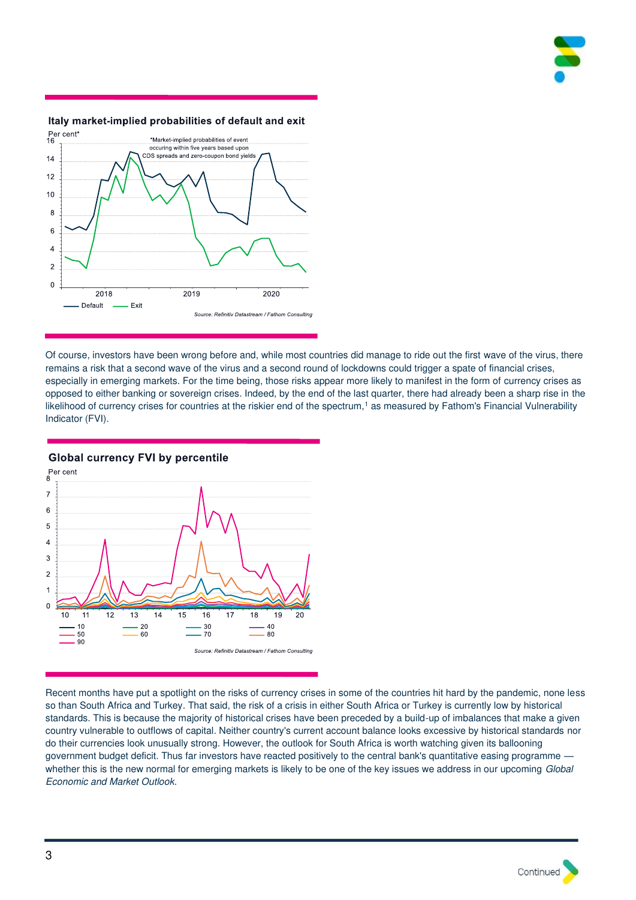



## Italy market-implied probabilities of default and exit

Of course, investors have been wrong before and, while most countries did manage to ride out the first wave of the virus, there remains a risk that a second wave of the virus and a second round of lockdowns could trigger a spate of financial crises, especially in emerging markets. For the time being, those risks appear more likely to manifest in the form of currency crises as opposed to either banking or sovereign crises. Indeed, by the end of the last quarter, there had already been a sharp rise in the likelihood of currency crises for countries at the riskier end of the spectrum,<sup>1</sup> as measured by Fathom's Financial Vulnerability Indicator (FVI).



**Global currency FVI by percentile** 

Recent months have put a spotlight on the risks of currency crises in some of the countries hit hard by the pandemic, none less so than South Africa and Turkey. That said, the risk of a crisis in either South Africa or Turkey is currently low by historical standards. This is because the majority of historical crises have been preceded by a build-up of imbalances that make a given country vulnerable to outflows of capital. Neither country's current account balance looks excessive by historical standards nor do their currencies look unusually strong. However, the outlook for South Africa is worth watching given its ballooning government budget deficit. Thus far investors have reacted positively to the central bank's quantitative easing programme whether this is the new normal for emerging markets is likely to be one of the key issues we address in our upcoming Global Economic and Market Outlook.